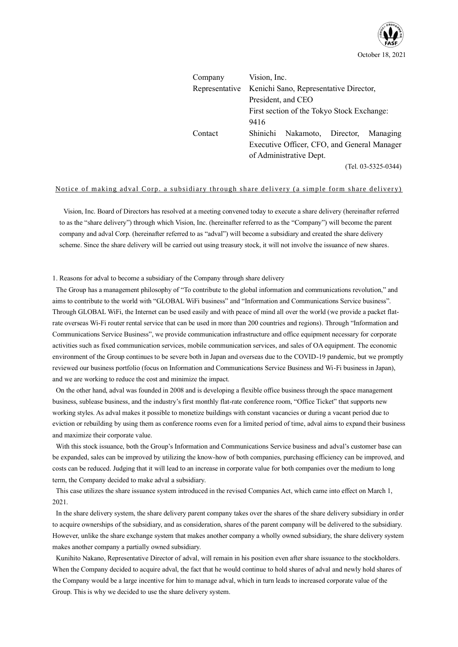

| Company        | Vision, Inc.                           |                                             |  |                       |
|----------------|----------------------------------------|---------------------------------------------|--|-----------------------|
| Representative | Kenichi Sano, Representative Director, |                                             |  |                       |
|                |                                        | President, and CEO                          |  |                       |
|                |                                        | First section of the Tokyo Stock Exchange:  |  |                       |
|                | 9416                                   |                                             |  |                       |
| Contact        | Shinichi                               | Nakamoto, Director, Managing                |  |                       |
|                |                                        | Executive Officer, CFO, and General Manager |  |                       |
|                |                                        | of Administrative Dept.                     |  |                       |
|                |                                        |                                             |  | $(Tel. 03-5325-0344)$ |

### Notice of making adval Corp. a subsidiary through share delivery (a simple form share delivery)

Vision, Inc. Board of Directors has resolved at a meeting convened today to execute a share delivery (hereinafter referred to as the "share delivery") through which Vision, Inc. (hereinafter referred to as the "Company") will become the parent company and adval Corp. (hereinafter referred to as "adval") will become a subsidiary and created the share delivery scheme. Since the share delivery will be carried out using treasury stock, it will not involve the issuance of new shares.

1. Reasons for adval to become a subsidiary of the Company through share delivery

The Group has a management philosophy of "To contribute to the global information and communications revolution," and aims to contribute to the world with "GLOBAL WiFi business" and "Information and Communications Service business". Through GLOBAL WiFi, the Internet can be used easily and with peace of mind all over the world (we provide a packet flatrate overseas Wi-Fi router rental service that can be used in more than 200 countries and regions). Through "Information and Communications Service Business", we provide communication infrastructure and office equipment necessary for corporate activities such as fixed communication services, mobile communication services, and sales of OA equipment. The economic environment of the Group continues to be severe both in Japan and overseas due to the COVID-19 pandemic, but we promptly reviewed our business portfolio (focus on Information and Communications Service Business and Wi-Fi business in Japan), and we are working to reduce the cost and minimize the impact.

On the other hand, adval was founded in 2008 and is developing a flexible office business through the space management business, sublease business, and the industry's first monthly flat-rate conference room, "Office Ticket" that supports new working styles. As adval makes it possible to monetize buildings with constant vacancies or during a vacant period due to eviction or rebuilding by using them as conference rooms even for a limited period of time, adval aims to expand their business and maximize their corporate value.

With this stock issuance, both the Group's Information and Communications Service business and adval's customer base can be expanded, sales can be improved by utilizing the know-how of both companies, purchasing efficiency can be improved, and costs can be reduced. Judging that it will lead to an increase in corporate value for both companies over the medium to long term, the Company decided to make adval a subsidiary.

This case utilizes the share issuance system introduced in the revised Companies Act, which came into effect on March 1, 2021.

In the share delivery system, the share delivery parent company takes over the shares of the share delivery subsidiary in order to acquire ownerships of the subsidiary, and as consideration, shares of the parent company will be delivered to the subsidiary. However, unlike the share exchange system that makes another company a wholly owned subsidiary, the share delivery system makes another company a partially owned subsidiary.

Kunihito Nakano, Representative Director of adval, will remain in his position even after share issuance to the stockholders. When the Company decided to acquire adval, the fact that he would continue to hold shares of adval and newly hold shares of the Company would be a large incentive for him to manage adval, which in turn leads to increased corporate value of the Group. This is why we decided to use the share delivery system.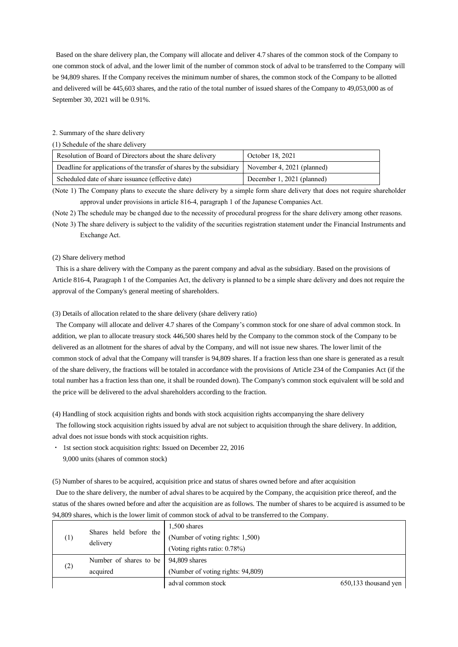Based on the share delivery plan, the Company will allocate and deliver 4.7 shares of the common stock of the Company to one common stock of adval, and the lower limit of the number of common stock of adval to be transferred to the Company will be 94,809 shares. If the Company receives the minimum number of shares, the common stock of the Company to be allotted and delivered will be 445,603 shares, and the ratio of the total number of issued shares of the Company to 49,053,000 as of September 30, 2021 will be 0.91%.

#### 2. Summary of the share delivery

(1) Schedule of the share delivery

| Resolution of Board of Directors about the share delivery                                          | October 18, 2021           |  |
|----------------------------------------------------------------------------------------------------|----------------------------|--|
| Deadline for applications of the transfer of shares by the subsidiary   November 4, 2021 (planned) |                            |  |
| Scheduled date of share issuance (effective date)                                                  | December 1, 2021 (planned) |  |

(Note 1) The Company plans to execute the share delivery by a simple form share delivery that does not require shareholder approval under provisions in article 816-4, paragraph 1 of the Japanese Companies Act.

(Note 2) The schedule may be changed due to the necessity of procedural progress for the share delivery among other reasons. (Note 3) The share delivery is subject to the validity of the securities registration statement under the Financial Instruments and Exchange Act.

#### (2) Share delivery method

This is a share delivery with the Company as the parent company and adval as the subsidiary. Based on the provisions of Article 816-4, Paragraph 1 of the Companies Act, the delivery is planned to be a simple share delivery and does not require the approval of the Company's general meeting of shareholders.

#### (3) Details of allocation related to the share delivery (share delivery ratio)

The Company will allocate and deliver 4.7 shares of the Company's common stock for one share of adval common stock. In addition, we plan to allocate treasury stock 446,500 shares held by the Company to the common stock of the Company to be delivered as an allotment for the shares of adval by the Company, and will not issue new shares. The lower limit of the common stock of adval that the Company will transfer is 94,809 shares. If a fraction less than one share is generated as a result of the share delivery, the fractions will be totaled in accordance with the provisions of Article 234 of the Companies Act (if the total number has a fraction less than one, it shall be rounded down). The Company's common stock equivalent will be sold and the price will be delivered to the adval shareholders according to the fraction.

(4) Handling of stock acquisition rights and bonds with stock acquisition rights accompanying the share delivery

The following stock acquisition rights issued by adval are not subject to acquisition through the share delivery. In addition, adval does not issue bonds with stock acquisition rights.

・ 1st section stock acquisition rights: Issued on December 22, 2016

9,000 units (shares of common stock)

(5) Number of shares to be acquired, acquisition price and status of shares owned before and after acquisition

Due to the share delivery, the number of adval shares to be acquired by the Company, the acquisition price thereof, and the status of the shares owned before and after the acquisition are as follows. The number of shares to be acquired is assumed to be 94,809 shares, which is the lower limit of common stock of adval to be transferred to the Company.

| $^{(1)}$        | Shares held before the<br>delivery     | $1,500$ shares<br>(Number of voting rights: 1,500)<br>(Voting rights ratio: 0.78%) |                      |
|-----------------|----------------------------------------|------------------------------------------------------------------------------------|----------------------|
|                 | Number of shares to be   94,809 shares |                                                                                    |                      |
| (2)<br>acquired |                                        | (Number of voting rights: 94,809)                                                  |                      |
|                 |                                        | adval common stock                                                                 | 650,133 thousand yen |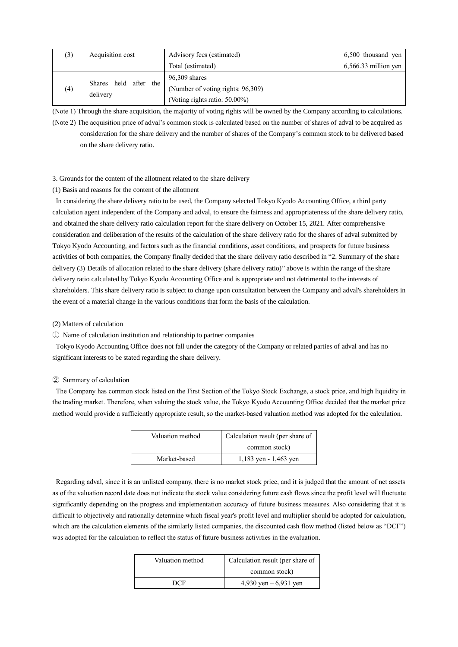| (3) | Acquisition cost      | Advisory fees (estimated)         | 6,500 thousand yen     |
|-----|-----------------------|-----------------------------------|------------------------|
|     |                       | Total (estimated)                 | $6,566.33$ million yen |
|     | Shares held after the | 96,309 shares                     |                        |
| (4) | delivery              | (Number of voting rights: 96,309) |                        |
|     |                       | (Voting rights ratio: 50.00%)     |                        |

(Note 1) Through the share acquisition, the majority of voting rights will be owned by the Company according to calculations. (Note 2) The acquisition price of adval's common stock is calculated based on the number of shares of adval to be acquired as consideration for the share delivery and the number of shares of the Company's common stock to be delivered based on the share delivery ratio.

#### 3. Grounds for the content of the allotment related to the share delivery

### (1) Basis and reasons for the content of the allotment

In considering the share delivery ratio to be used, the Company selected Tokyo Kyodo Accounting Office, a third party calculation agent independent of the Company and adval, to ensure the fairness and appropriateness of the share delivery ratio, and obtained the share delivery ratio calculation report for the share delivery on October 15, 2021. After comprehensive consideration and deliberation of the results of the calculation of the share delivery ratio for the shares of adval submitted by Tokyo Kyodo Accounting, and factors such as the financial conditions, asset conditions, and prospects for future business activities of both companies, the Company finally decided that the share delivery ratio described in "2. Summary of the share delivery (3) Details of allocation related to the share delivery (share delivery ratio)" above is within the range of the share delivery ratio calculated by Tokyo Kyodo Accounting Office and is appropriate and not detrimental to the interests of shareholders. This share delivery ratio is subject to change upon consultation between the Company and adval's shareholders in the event of a material change in the various conditions that form the basis of the calculation.

#### (2) Matters of calculation

① Name of calculation institution and relationship to partner companies

Tokyo Kyodo Accounting Office does not fall under the category of the Company or related parties of adval and has no significant interests to be stated regarding the share delivery.

#### ② Summary of calculation

The Company has common stock listed on the First Section of the Tokyo Stock Exchange, a stock price, and high liquidity in the trading market. Therefore, when valuing the stock value, the Tokyo Kyodo Accounting Office decided that the market price method would provide a sufficiently appropriate result, so the market-based valuation method was adopted for the calculation.

| Valuation method | Calculation result (per share of |  |
|------------------|----------------------------------|--|
|                  | common stock)                    |  |
| Market-based     | $1,183$ yen - 1,463 yen          |  |

Regarding adval, since it is an unlisted company, there is no market stock price, and it is judged that the amount of net assets as of the valuation record date does not indicate the stock value considering future cash flows since the profit level will fluctuate significantly depending on the progress and implementation accuracy of future business measures. Also considering that it is difficult to objectively and rationally determine which fiscal year's profit level and multiplier should be adopted for calculation, which are the calculation elements of the similarly listed companies, the discounted cash flow method (listed below as "DCF") was adopted for the calculation to reflect the status of future business activities in the evaluation.

| Valuation method | Calculation result (per share of |  |
|------------------|----------------------------------|--|
|                  | common stock)                    |  |
| DCE              | 4,930 yen $-6,931$ yen           |  |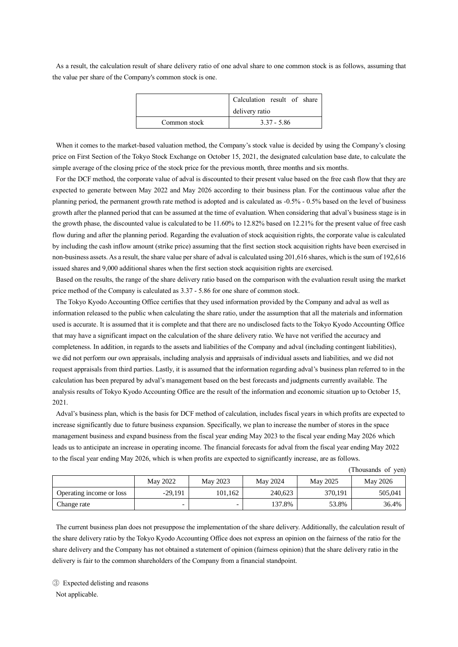As a result, the calculation result of share delivery ratio of one adval share to one common stock is as follows, assuming that the value per share of the Company's common stock is one.

|              | Calculation result of share |
|--------------|-----------------------------|
|              | delivery ratio              |
| Common stock | $3.37 - 5.86$               |

When it comes to the market-based valuation method, the Company's stock value is decided by using the Company's closing price on First Section of the Tokyo Stock Exchange on October 15, 2021, the designated calculation base date, to calculate the simple average of the closing price of the stock price for the previous month, three months and six months.

For the DCF method, the corporate value of adval is discounted to their present value based on the free cash flow that they are expected to generate between May 2022 and May 2026 according to their business plan. For the continuous value after the planning period, the permanent growth rate method is adopted and is calculated as -0.5% - 0.5% based on the level of business growth after the planned period that can be assumed at the time of evaluation. When considering that adval's business stage is in the growth phase, the discounted value is calculated to be 11.60% to 12.82% based on 12.21% for the present value of free cash flow during and after the planning period. Regarding the evaluation of stock acquisition rights, the corporate value is calculated by including the cash inflow amount (strike price) assuming that the first section stock acquisition rights have been exercised in non-business assets. As a result, the share value per share of adval is calculated using 201,616 shares, which is the sum of 192,616 issued shares and 9,000 additional shares when the first section stock acquisition rights are exercised.

Based on the results, the range of the share delivery ratio based on the comparison with the evaluation result using the market price method of the Company is calculated as 3.37 - 5.86 for one share of common stock.

The Tokyo Kyodo Accounting Office certifies that they used information provided by the Company and adval as well as information released to the public when calculating the share ratio, under the assumption that all the materials and information used is accurate. It is assumed that it is complete and that there are no undisclosed facts to the Tokyo Kyodo Accounting Office that may have a significant impact on the calculation of the share delivery ratio. We have not verified the accuracy and completeness. In addition, in regards to the assets and liabilities of the Company and adval (including contingent liabilities), we did not perform our own appraisals, including analysis and appraisals of individual assets and liabilities, and we did not request appraisals from third parties. Lastly, it is assumed that the information regarding adval's business plan referred to in the calculation has been prepared by adval's management based on the best forecasts and judgments currently available. The analysis results of Tokyo Kyodo Accounting Office are the result of the information and economic situation up to October 15, 2021.

Adval's business plan, which is the basis for DCF method of calculation, includes fiscal years in which profits are expected to increase significantly due to future business expansion. Specifically, we plan to increase the number of stores in the space management business and expand business from the fiscal year ending May 2023 to the fiscal year ending May 2026 which leads us to anticipate an increase in operating income. The financial forecasts for adval from the fiscal year ending May 2022 to the fiscal year ending May 2026, which is when profits are expected to significantly increase, are as follows.

|                          | May 2022  | May 2023 | May 2024 | May 2025 | May 2026 |
|--------------------------|-----------|----------|----------|----------|----------|
| Operating income or loss | $-29.191$ | 101.162  | 240.623  | 370.191  | 505,041  |
| Change rate              |           |          | 137.8%   | 53.8%    | 36.4%    |

The current business plan does not presuppose the implementation of the share delivery. Additionally, the calculation result of the share delivery ratio by the Tokyo Kyodo Accounting Office does not express an opinion on the fairness of the ratio for the share delivery and the Company has not obtained a statement of opinion (fairness opinion) that the share delivery ratio in the delivery is fair to the common shareholders of the Company from a financial standpoint.

③ Expected delisting and reasons

Not applicable.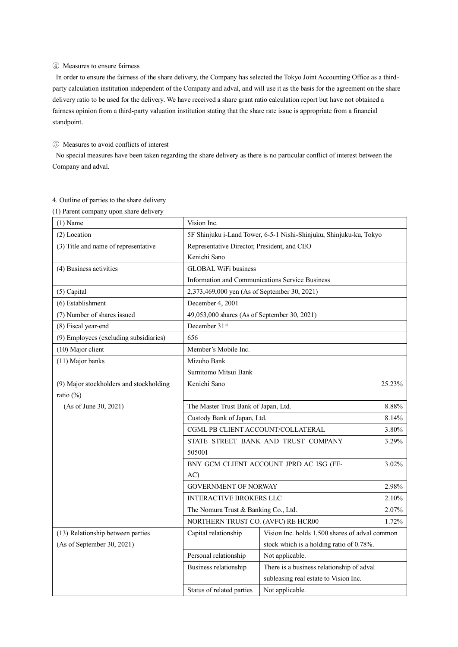### ④ Measures to ensure fairness

In order to ensure the fairness of the share delivery, the Company has selected the Tokyo Joint Accounting Office as a thirdparty calculation institution independent of the Company and adval, and will use it as the basis for the agreement on the share delivery ratio to be used for the delivery. We have received a share grant ratio calculation report but have not obtained a fairness opinion from a third-party valuation institution stating that the share rate issue is appropriate from a financial standpoint.

### ⑤ Measures to avoid conflicts of interest

No special measures have been taken regarding the share delivery as there is no particular conflict of interest between the Company and adval.

| $1)$ r arent company apon share denv<br>$(1)$ Name | Vision Inc.                                                            |                                              |  |
|----------------------------------------------------|------------------------------------------------------------------------|----------------------------------------------|--|
| (2) Location                                       | 5F Shinjuku i-Land Tower, 6-5-1 Nishi-Shinjuku, Shinjuku-ku, Tokyo     |                                              |  |
| (3) Title and name of representative               | Representative Director, President, and CEO                            |                                              |  |
|                                                    | Kenichi Sano                                                           |                                              |  |
| (4) Business activities                            | <b>GLOBAL WiFi business</b>                                            |                                              |  |
|                                                    | Information and Communications Service Business                        |                                              |  |
| (5) Capital                                        | 2,373,469,000 yen (As of September 30, 2021)                           |                                              |  |
| (6) Establishment                                  | December 4, 2001                                                       |                                              |  |
| (7) Number of shares issued                        | 49,053,000 shares (As of September 30, 2021)                           |                                              |  |
| (8) Fiscal year-end                                | December 31 <sup>st</sup>                                              |                                              |  |
| (9) Employees (excluding subsidiaries)             | 656                                                                    |                                              |  |
| (10) Major client                                  | Member's Mobile Inc.                                                   |                                              |  |
| (11) Major banks                                   | Mizuho Bank                                                            |                                              |  |
|                                                    | Sumitomo Mitsui Bank                                                   |                                              |  |
| (9) Major stockholders and stockholding            | Kenichi Sano<br>25.23%                                                 |                                              |  |
| ratio $(\%)$                                       |                                                                        |                                              |  |
| (As of June 30, 2021)                              | The Master Trust Bank of Japan, Ltd.<br>8.88%                          |                                              |  |
|                                                    | Custody Bank of Japan, Ltd.                                            | 8.14%                                        |  |
|                                                    | CGML PB CLIENT ACCOUNT/COLLATERAL                                      | 3.80%                                        |  |
|                                                    |                                                                        | 3.29%<br>STATE STREET BANK AND TRUST COMPANY |  |
|                                                    | 505001                                                                 |                                              |  |
|                                                    | 3.02%<br>BNY GCM CLIENT ACCOUNT JPRD AC ISG (FE-                       |                                              |  |
|                                                    | AC)                                                                    |                                              |  |
|                                                    | <b>GOVERNMENT OF NORWAY</b>                                            | 2.98%                                        |  |
|                                                    | <b>INTERACTIVE BROKERS LLC</b>                                         | 2.10%                                        |  |
|                                                    | The Nomura Trust & Banking Co., Ltd.                                   | 2.07%                                        |  |
|                                                    | NORTHERN TRUST CO. (AVFC) RE HCR00                                     | 1.72%                                        |  |
| (13) Relationship between parties                  | Vision Inc. holds 1,500 shares of adval common<br>Capital relationship |                                              |  |
| (As of September 30, 2021)                         |                                                                        | stock which is a holding ratio of 0.78%.     |  |
|                                                    | Personal relationship                                                  | Not applicable.                              |  |
|                                                    | Business relationship                                                  | There is a business relationship of adval    |  |
|                                                    |                                                                        | subleasing real estate to Vision Inc.        |  |
|                                                    | Status of related parties                                              | Not applicable.                              |  |

# 4. Outline of parties to the share delivery

(1) Parent company upon share delivery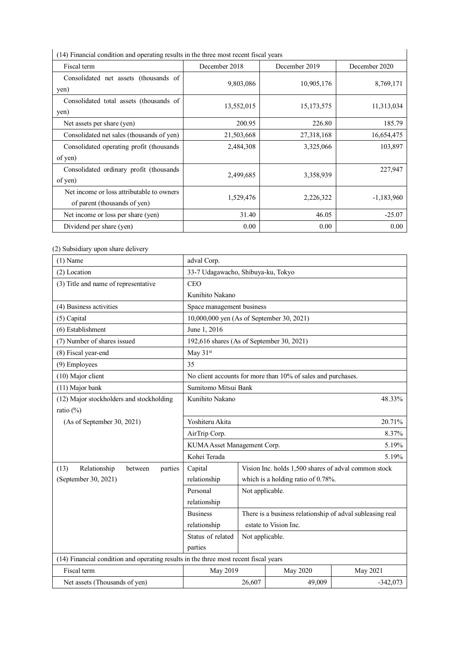| (14) Financial condition and operating results in the three most recent fiscal years |               |               |               |  |  |
|--------------------------------------------------------------------------------------|---------------|---------------|---------------|--|--|
| Fiscal term                                                                          | December 2018 | December 2019 | December 2020 |  |  |
| Consolidated net assets (thousands of                                                | 9,803,086     | 10,905,176    | 8,769,171     |  |  |
| yen)                                                                                 |               |               |               |  |  |
| Consolidated total assets (thousands of                                              | 13,552,015    | 15, 173, 575  | 11,313,034    |  |  |
| yen)                                                                                 |               |               |               |  |  |
| Net assets per share (yen)                                                           | 200.95        | 226.80        | 185.79        |  |  |
| Consolidated net sales (thousands of yen)                                            | 21,503,668    | 27,318,168    | 16,654,475    |  |  |
| Consolidated operating profit (thousands)                                            | 2,484,308     | 3,325,066     | 103,897       |  |  |
| of yen)                                                                              |               |               |               |  |  |
| Consolidated ordinary profit (thousands                                              |               |               | 227,947       |  |  |
| of yen)                                                                              | 2,499,685     | 3,358,939     |               |  |  |
| Net income or loss attributable to owners                                            |               |               |               |  |  |
| of parent (thousands of yen)                                                         | 1,529,476     | 2,226,322     | $-1,183,960$  |  |  |
| Net income or loss per share (yen)                                                   | 31.40         | 46.05         | $-25.07$      |  |  |
| Dividend per share (yen)                                                             | 0.00          | 0.00          | 0.00          |  |  |

(14) Financial condition and operating results in the three most recent fiscal years

# (2) Subsidiary upon share delivery

| $(1)$ Name                                                                           | adval Corp.                                                     |                                                           |                                                              |            |
|--------------------------------------------------------------------------------------|-----------------------------------------------------------------|-----------------------------------------------------------|--------------------------------------------------------------|------------|
| (2) Location                                                                         | 33-7 Udagawacho, Shibuya-ku, Tokyo                              |                                                           |                                                              |            |
| (3) Title and name of representative                                                 | <b>CEO</b>                                                      |                                                           |                                                              |            |
|                                                                                      | Kunihito Nakano                                                 |                                                           |                                                              |            |
| (4) Business activities                                                              | Space management business                                       |                                                           |                                                              |            |
| (5) Capital                                                                          | 10,000,000 yen (As of September 30, 2021)                       |                                                           |                                                              |            |
| (6) Establishment                                                                    | June 1, 2016                                                    |                                                           |                                                              |            |
| (7) Number of shares issued                                                          | 192,616 shares (As of September 30, 2021)                       |                                                           |                                                              |            |
| (8) Fiscal year-end                                                                  | May 31st                                                        |                                                           |                                                              |            |
| (9) Employees                                                                        | 35                                                              |                                                           |                                                              |            |
| (10) Major client                                                                    |                                                                 |                                                           | No client accounts for more than 10% of sales and purchases. |            |
| (11) Major bank                                                                      | Sumitomo Mitsui Bank                                            |                                                           |                                                              |            |
| (12) Major stockholders and stockholding                                             | Kunihito Nakano                                                 |                                                           |                                                              | 48.33%     |
| ratio (%)                                                                            |                                                                 |                                                           |                                                              |            |
| (As of September 30, 2021)                                                           | Yoshiteru Akita                                                 |                                                           | 20.71%                                                       |            |
|                                                                                      | AirTrip Corp.                                                   |                                                           | 8.37%                                                        |            |
|                                                                                      | KUMA Asset Management Corp.                                     |                                                           |                                                              | 5.19%      |
|                                                                                      | Kohei Terada                                                    |                                                           |                                                              | 5.19%      |
| Relationship<br>(13)<br>parties<br>between                                           | Capital<br>Vision Inc. holds 1,500 shares of adval common stock |                                                           |                                                              |            |
| (September 30, 2021)                                                                 | relationship                                                    |                                                           | which is a holding ratio of 0.78%.                           |            |
|                                                                                      | Personal                                                        | Not applicable.                                           |                                                              |            |
|                                                                                      | relationship                                                    |                                                           |                                                              |            |
|                                                                                      | <b>Business</b>                                                 | There is a business relationship of adval subleasing real |                                                              |            |
|                                                                                      | estate to Vision Inc.<br>relationship                           |                                                           |                                                              |            |
|                                                                                      | Status of related<br>Not applicable.                            |                                                           |                                                              |            |
|                                                                                      | parties                                                         |                                                           |                                                              |            |
| (14) Financial condition and operating results in the three most recent fiscal years |                                                                 |                                                           |                                                              |            |
| Fiscal term                                                                          | May 2019                                                        |                                                           | May 2020                                                     | May 2021   |
| Net assets (Thousands of yen)                                                        |                                                                 |                                                           | 49,009                                                       | $-342,073$ |